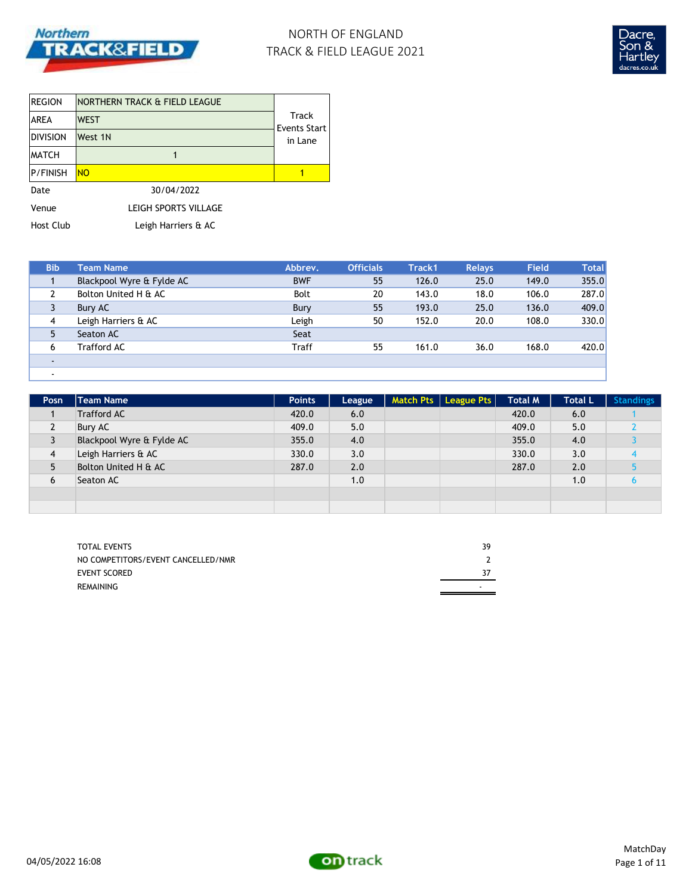

# NORTH OF ENGLAND TRACK & FIELD LEAGUE 2021



| <b>REGION</b>    | INORTHERN TRACK & FIELD LEAGUE |                       |  |
|------------------|--------------------------------|-----------------------|--|
| <b>AREA</b>      | <b>WEST</b>                    | Track<br>Events Start |  |
| <b>DIVISION</b>  | West 1N                        | in Lane               |  |
| <b>MATCH</b>     |                                |                       |  |
| <b>P/FINISH</b>  | <b>NO</b>                      |                       |  |
| Date             | 30/04/2022                     |                       |  |
| Venue            | LEIGH SPORTS VILLAGE           |                       |  |
| <b>Host Club</b> | Leigh Harriers & AC            |                       |  |

| <b>Bib</b> | <b>Team Name</b>          | Abbrev.      | <b>Officials</b> | Track1 | <b>Relays</b> | <b>Field</b> | <b>Total</b> |
|------------|---------------------------|--------------|------------------|--------|---------------|--------------|--------------|
|            | Blackpool Wyre & Fylde AC | <b>BWF</b>   | 55               | 126.0  | 25.0          | 149.0        | 355.0        |
|            | Bolton United H & AC      | <b>Bolt</b>  | 20               | 143.0  | 18.0          | 106.0        | 287.0        |
| 3          | Bury AC                   | Bury         | 55               | 193.0  | 25.0          | 136.0        | 409.0        |
| 4          | Leigh Harriers & AC       | Leigh        | 50               | 152.0  | 20.0          | 108.0        | 330.0        |
| 5          | Seaton AC                 | Seat         |                  |        |               |              |              |
| 6          | Trafford AC               | <b>Traff</b> | 55               | 161.0  | 36.0          | 168.0        | 420.0        |
| $\sim$     |                           |              |                  |        |               |              |              |
| $\sim$     |                           |              |                  |        |               |              |              |

| Posn           | Team Name                 | <b>Points</b> | League | Match Pts   League Pts | <b>Total M</b> | <b>Total L</b> | <b>Standings</b> |
|----------------|---------------------------|---------------|--------|------------------------|----------------|----------------|------------------|
|                | <b>Trafford AC</b>        | 420.0         | 6.0    |                        | 420.0          | 6.0            |                  |
| $\overline{2}$ | Bury AC                   | 409.0         | 5.0    |                        | 409.0          | 5.0            |                  |
| 3              | Blackpool Wyre & Fylde AC | 355.0         | 4.0    |                        | 355.0          | 4.0            |                  |
| 4              | Leigh Harriers & AC       | 330.0         | 3.0    |                        | 330.0          | 3.0            |                  |
| 5              | Bolton United H & AC      | 287.0         | 2.0    |                        | 287.0          | 2.0            |                  |
| 6              | Seaton AC                 |               | 1.0    |                        |                | 1.0            |                  |
|                |                           |               |        |                        |                |                |                  |
|                |                           |               |        |                        |                |                |                  |

| <b>TOTAL EVENTS</b>                | 39 |
|------------------------------------|----|
| NO COMPETITORS/EVENT CANCELLED/NMR |    |
| <b>EVENT SCORED</b>                |    |
| REMAINING                          |    |

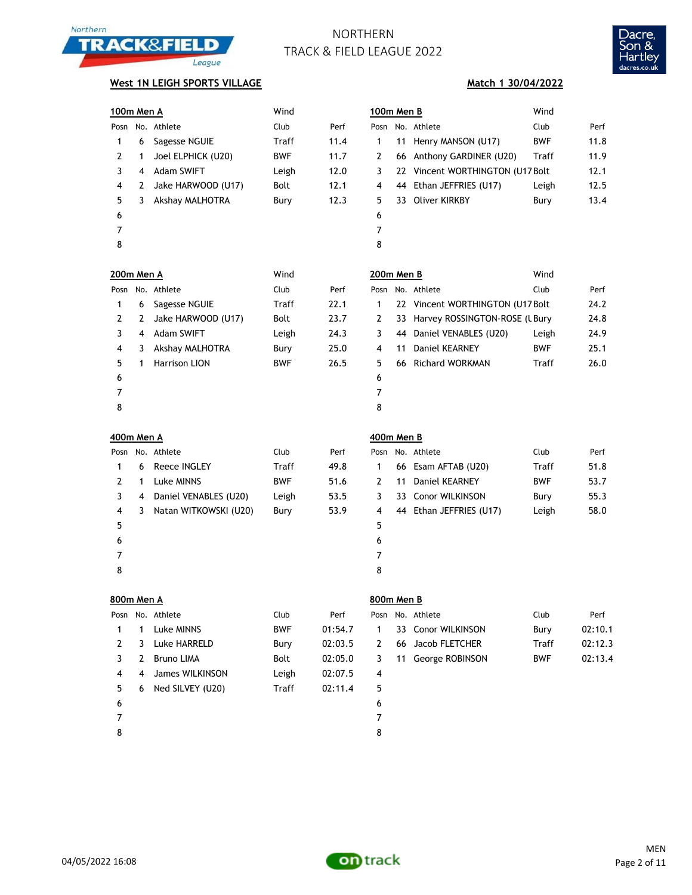



### **West 1N LEIGH SPORTS VILLAGE**

| 100m Men A     |   |                      | Wind        |      | 100m Men B     |    |                                   | Wind       |      |
|----------------|---|----------------------|-------------|------|----------------|----|-----------------------------------|------------|------|
| Posn           |   | No. Athlete          | Club        | Perf | Posn           |    | No. Athlete                       | Club       | Perf |
| 1              | 6 | Sagesse NGUIE        | Traff       | 11.4 | 1              | 11 | Henry MANSON (U17)                | <b>BWF</b> | 11.8 |
| $\overline{2}$ | 1 | Joel ELPHICK (U20)   | <b>BWF</b>  | 11.7 | $\overline{2}$ | 66 | Anthony GARDINER (U20)            | Traff      | 11.9 |
| 3              | 4 | <b>Adam SWIFT</b>    | Leigh       | 12.0 | 3              | 22 | Vincent WORTHINGTON (U17 Bolt)    |            | 12.1 |
| 4              | 2 | Jake HARWOOD (U17)   | <b>Bolt</b> | 12.1 | 4              | 44 | Ethan JEFFRIES (U17)              | Leigh      | 12.5 |
| 5              | 3 | Akshay MALHOTRA      | Bury        | 12.3 | 5              | 33 | <b>Oliver KIRKBY</b>              | Bury       | 13.4 |
| 6              |   |                      |             |      | 6              |    |                                   |            |      |
| 7              |   |                      |             |      | 7              |    |                                   |            |      |
| 8              |   |                      |             |      | 8              |    |                                   |            |      |
| 200m Men A     |   |                      | Wind        |      | 200m Men B     |    |                                   | Wind       |      |
| Posn           |   | No. Athlete          | Club        | Perf | Posn           |    | No. Athlete                       | Club       | Perf |
| 1              | 6 | Sagesse NGUIE        | Traff       | 22.1 | 1              |    | 22 Vincent WORTHINGTON (U17 Bolt) |            | 24.2 |
| 2              | 2 | Jake HARWOOD (U17)   | <b>Bolt</b> | 23.7 | $\overline{2}$ | 33 | Harvey ROSSINGTON-ROSE (L Bury    |            | 24.8 |
| 3              | 4 | <b>Adam SWIFT</b>    | Leigh       | 24.3 | 3              | 44 | Daniel VENABLES (U20)             | Leigh      | 24.9 |
| 4              | 3 | Akshay MALHOTRA      | Bury        | 25.0 | 4              | 11 | Daniel KEARNEY                    | <b>BWF</b> | 25.1 |
| 5              | 1 | <b>Harrison LION</b> | <b>BWF</b>  | 26.5 | 5              | 66 | <b>Richard WORKMAN</b>            | Traff      | 26.0 |
| 6              |   |                      |             |      | 6              |    |                                   |            |      |
| 7              |   |                      |             |      | 7              |    |                                   |            |      |
| 8              |   |                      |             |      | 8              |    |                                   |            |      |

| 00m Men B | Wind |                                   |            |      |
|-----------|------|-----------------------------------|------------|------|
| osn       |      | No. Athlete                       | Club       | Perf |
| 1         |      | 22 Vincent WORTHINGTON (U17 Bolt) |            | 24.2 |
| 2         |      | 33 Harvey ROSSINGTON-ROSE (LBury  |            | 24.8 |
| 3         |      | 44 Daniel VENABLES (U20)          | Leigh      | 24.9 |
| 4         | 11   | Daniel KEARNEY                    | <b>BWF</b> | 25.1 |
| 5.        |      | 66 Richard WORKMAN                | Traff      | 26.0 |
| 6         |      |                                   |            |      |
|           |      |                                   |            |      |

| 400m Men A |   |                       |            |      | 400m Men B  |       |      |
|------------|---|-----------------------|------------|------|-------------|-------|------|
|            |   | Posn No. Athlete      | Club       | Perf | Posn No. At |       |      |
| 1          | 6 | Reece INGLEY          | Traff      | 49.8 | 1           | 66 Es |      |
| 2          | 1 | Luke MINNS            | <b>BWF</b> | 51.6 | 2           | 11    | Da   |
| 3          | 4 | Daniel VENABLES (U20) | Leigh      | 53.5 | 3           | 33    | - Cc |
| 4          | 3 | Natan WITKOWSKI (U20) | Bury       | 53.9 | 4           | 44 Et |      |
| 5          |   |                       |            |      | 5           |       |      |
| 6          |   |                       |            |      | 6           |       |      |
| 7          |   |                       |            |      | 7           |       |      |
| 8          |   |                       |            |      | 8           |       |      |

| Posn |    | No. Athlete           | Club       | Perf |   | Posn No. Athlete        | Club       | Perf |
|------|----|-----------------------|------------|------|---|-------------------------|------------|------|
|      | 6  | Reece INGLEY          | Traff      | 49.8 |   | 66 Esam AFTAB (U20)     | Traff      | 51.8 |
|      |    | Luke MINNS            | <b>BWF</b> | 51.6 |   | 11 Daniel KEARNEY       | <b>BWF</b> | 53.7 |
|      | -4 | Daniel VENABLES (U20) | Leigh      | 53.5 |   | 33 Conor WILKINSON      | Bury       | 55.3 |
| 4    | 3  | Natan WITKOWSKI (U20) | Bury       | 53.9 | 4 | 44 Ethan JEFFRIES (U17) | Leigh      | 58.0 |
| 5    |    |                       |            |      | 5 |                         |            |      |
| 6    |    |                       |            |      | 6 |                         |            |      |
| ⇁    |    |                       |            |      |   |                         |            |      |

| 800m Men A |                  |            |        | 800m Men B |  |                       |      |       |
|------------|------------------|------------|--------|------------|--|-----------------------|------|-------|
|            | Posn No. Athlete | Club       | Perf   |            |  | Posn No. Athlete      | Club | Perf  |
|            | Tuke MINNS       | <b>RWF</b> | 01.547 |            |  | 1 33 Conor WII KINSON | Bury | 02.10 |

|      | <b>UUUIII</b> |  |
|------|---------------|--|
| Perf | Posn No       |  |
| .547 |               |  |

|  | osn No. Athlete | Club       | Perf    |  | Posn No. Athlete     | Club | Perf    |
|--|-----------------|------------|---------|--|----------------------|------|---------|
|  | 1 1 Luke MINNS  | <b>BWF</b> | 01:54.7 |  | 1 33 Conor WILKINSON | Burv | 02:10.1 |

| Athlete                |  |
|------------------------|--|
| <b>Conor WILKINSON</b> |  |
| しょうしょ ローロエク ロロロ        |  |

| $\mathbf{2}$   | 3 | Luke HARRELD       | Bury  | 02:03.5 | 2 | 66 Jacob FLETCHER  | Traff      | 02:12.3 |
|----------------|---|--------------------|-------|---------|---|--------------------|------------|---------|
| 3              | 2 | Bruno LIMA         | Bolt  | 02:05.0 | 3 | 11 George ROBINSON | <b>BWF</b> | 02:13.4 |
| $\overline{4}$ |   | 4 James WILKINSON  | Leigh | 02:07.5 | 4 |                    |            |         |
| 5              |   | 6 Ned SILVEY (U20) | Traff | 02:11.4 | 5 |                    |            |         |
| 6              |   |                    |       |         | 6 |                    |            |         |
| 7              |   |                    |       |         |   |                    |            |         |
|                |   |                    |       |         |   |                    |            |         |

8 8

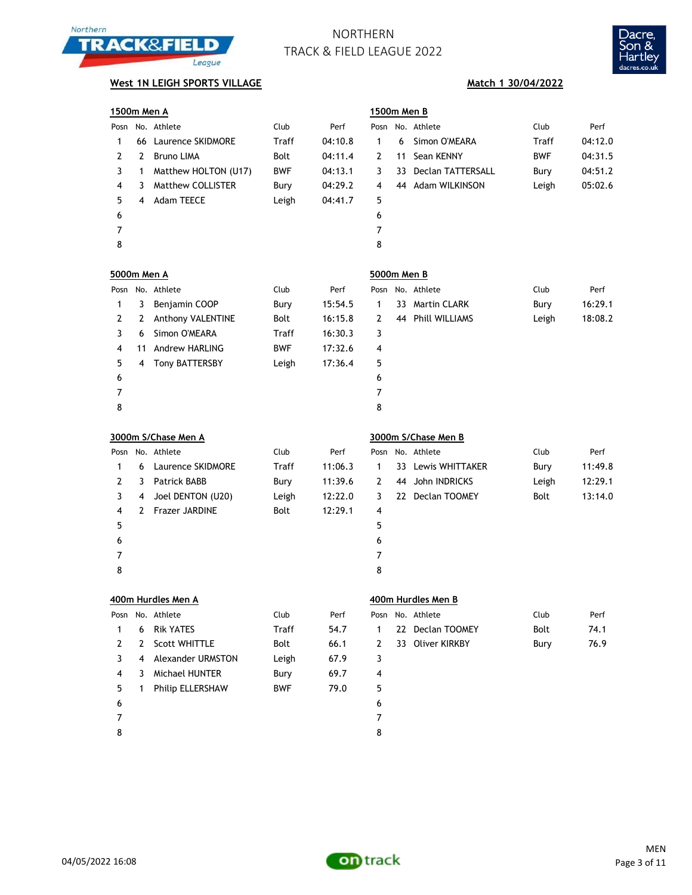



## **West 1N LEIGH SPORTS VILLAGE Match 1 30/04/2022**

|                    | 1500m Men A |                      |            |         |                |    | 1500m Men B              |            |         |  |  |  |
|--------------------|-------------|----------------------|------------|---------|----------------|----|--------------------------|------------|---------|--|--|--|
| Posn               |             | No. Athlete          | Club       | Perf    | Posn           |    | No. Athlete              | Club       | Perf    |  |  |  |
| 1                  | 66          | Laurence SKIDMORE    | Traff      | 04:10.8 | $\mathbf{1}$   | 6  | Simon O'MEARA            | Traff      | 04:12.0 |  |  |  |
| 2                  | 2           | <b>Bruno LIMA</b>    | Bolt       | 04:11.4 | 2              | 11 | Sean KENNY               | <b>BWF</b> | 04:31.5 |  |  |  |
| 3                  | 1           | Matthew HOLTON (U17) | <b>BWF</b> | 04:13.1 | 3              | 33 | <b>Declan TATTERSALL</b> | Bury       | 04:51.2 |  |  |  |
| 4                  | 3           | Matthew COLLISTER    | Bury       | 04:29.2 | 4              | 44 | Adam WILKINSON           | Leigh      | 05:02.6 |  |  |  |
| 5                  | 4           | Adam TEECE           | Leigh      | 04:41.7 | 5              |    |                          |            |         |  |  |  |
| 6                  |             |                      |            |         | 6              |    |                          |            |         |  |  |  |
| 7                  |             |                      |            |         | $\overline{7}$ |    |                          |            |         |  |  |  |
| 8                  |             |                      |            |         | 8              |    |                          |            |         |  |  |  |
| <b>5000m Men A</b> |             |                      |            |         | 5000m Men B    |    |                          |            |         |  |  |  |
| Posn               |             | No. Athlete          | Club       | Perf    | Posn           |    | No. Athlete              | Club       | Perf    |  |  |  |
| 1                  | 3           | Benjamin COOP        | Bury       | 15:54.5 | $\mathbf{1}$   | 33 | <b>Martin CLARK</b>      | Bury       | 16:29.1 |  |  |  |
| 2                  | 2           | Anthony VALENTINE    | Bolt       | 16:15.8 | $\overline{2}$ | 44 | Phill WILLIAMS           | Leigh      | 18:08.2 |  |  |  |
| 3                  | 6           | Simon O'MEARA        | Traff      | 16:30.3 | 3              |    |                          |            |         |  |  |  |
| 4                  | 11          | Andrew HARLING       | <b>BWF</b> | 17:32.6 | 4              |    |                          |            |         |  |  |  |
| 5                  | 4           | Tony BATTERSBY       | Leigh      | 17:36.4 | 5              |    |                          |            |         |  |  |  |
| 6                  |             |                      |            |         | 6              |    |                          |            |         |  |  |  |
| 7                  |             |                      |            |         | $\overline{7}$ |    |                          |            |         |  |  |  |
| 8                  |             |                      |            |         | 8              |    |                          |            |         |  |  |  |
|                    |             | 3000m S/Chase Men A  |            |         |                |    | 3000m S/Chase Men B      |            |         |  |  |  |
| Posn               |             | No. Athlete          | Club       | Perf    | Posn           |    | No. Athlete              | Club       | Perf    |  |  |  |
| 1                  | 6           | Laurence SKIDMORE    | Traff      | 11:06.3 | $\mathbf{1}$   | 33 | Lewis WHITTAKER          | Bury       | 11:49.8 |  |  |  |
| 2                  | 3           | Patrick BABB         | Bury       | 11:39.6 | 2              | 44 | John INDRICKS            | Leigh      | 12:29.1 |  |  |  |
| 3                  | 4           | Joel DENTON (U20)    | Leigh      | 12:22.0 | 3              |    | 22 Declan TOOMEY         | Bolt       | 13:14.0 |  |  |  |
| 4                  | 2           | Frazer JARDINE       | Bolt       | 12:29.1 | 4              |    |                          |            |         |  |  |  |
| 5                  |             |                      |            |         | 5              |    |                          |            |         |  |  |  |
| 6                  |             |                      |            |         | 6              |    |                          |            |         |  |  |  |
| 7                  |             |                      |            |         | 7              |    |                          |            |         |  |  |  |
| 8                  |             |                      |            |         | 8              |    |                          |            |         |  |  |  |
|                    |             | 400m Hurdles Men A   |            |         |                |    | 400m Hurdles Men B       |            |         |  |  |  |
| Posn               |             | No. Athlete          | Club       | Perf    | Posn           |    | No. Athlete              | Club       | Perf    |  |  |  |
| 1                  | 6           | <b>Rik YATES</b>     | Traff      | 54.7    | 1              | 22 | Declan TOOMEY            | Bolt       | 74.1    |  |  |  |
| 2                  | 2           | Scott WHITTLE        | Bolt       | 66.1    | 2              |    | 33 Oliver KIRKBY         | Bury       | 76.9    |  |  |  |
| 3                  | 4           | Alexander URMSTON    | Leigh      | 67.9    | 3              |    |                          |            |         |  |  |  |
| 4                  | 3           | Michael HUNTER       | Bury       | 69.7    | 4              |    |                          |            |         |  |  |  |
| 5                  | 1           | Philip ELLERSHAW     | <b>BWF</b> | 79.0    | 5              |    |                          |            |         |  |  |  |
| 6                  |             |                      |            |         | 6              |    |                          |            |         |  |  |  |
| 7                  |             |                      |            |         |                |    |                          |            |         |  |  |  |
|                    |             |                      |            |         | 7              |    |                          |            |         |  |  |  |

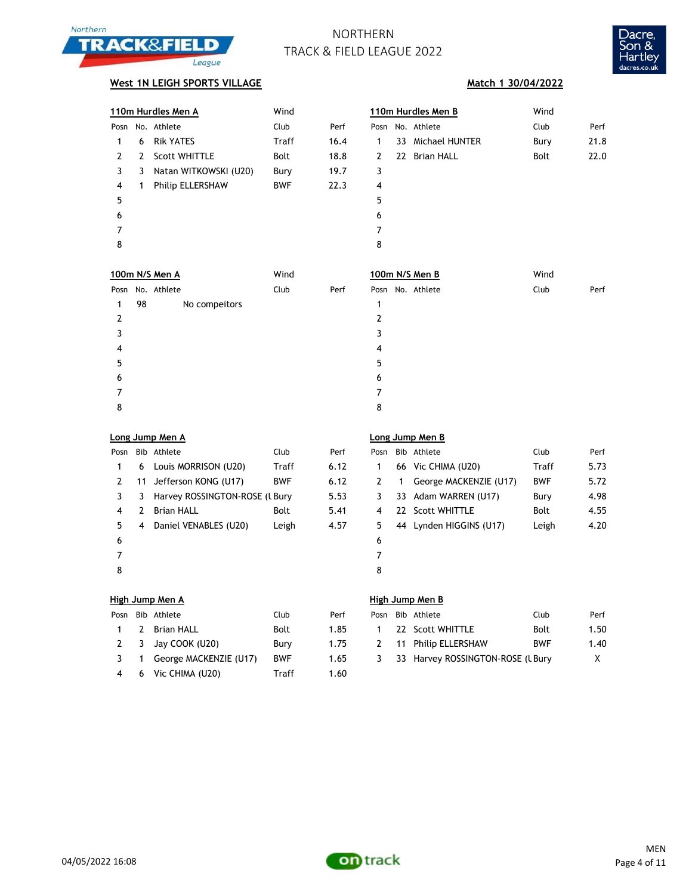



### **West 1N LEIGH SPORTS VILLAGE Match 1 30/04/2022**

|      |   | 110m Hurdles Men A      | Wind         |      | 110m Hurdles Men B | Wind              |      |      |
|------|---|-------------------------|--------------|------|--------------------|-------------------|------|------|
| Posn |   | No. Athlete             | Club         | Perf |                    | Posn No. Athlete  | Club | Perf |
|      | 6 | <b>Rik YATES</b>        | <b>Traff</b> | 16.4 | 1                  | 33 Michael HUNTER | Bury | 21.8 |
| 2    | 2 | <b>Scott WHITTLE</b>    | <b>Bolt</b>  | 18.8 | 2                  | 22 Brian HALL     | Bolt | 22.0 |
| 3    | 3 | Natan WITKOWSKI (U20)   | Bury         | 19.7 | 3                  |                   |      |      |
| 4    | 1 | <b>Philip ELLERSHAW</b> | <b>BWF</b>   | 22.3 | 4                  |                   |      |      |
| 5    |   |                         |              |      | 5                  |                   |      |      |
| 6    |   |                         |              |      | 6                  |                   |      |      |
|      |   |                         |              |      | 7                  |                   |      |      |
| 8    |   |                         |              |      | 8                  |                   |      |      |
|      |   |                         |              |      |                    |                   |      |      |
|      |   |                         |              |      |                    |                   |      |      |

|               |    | 100m N/S Men A   | Wind |      | 100m N/S Men B   | Wind |      |
|---------------|----|------------------|------|------|------------------|------|------|
|               |    | Posn No. Athlete | Club | Perf | Posn No. Athlete | Club | Perf |
| 1             | 98 | No compeitors    |      |      |                  |      |      |
| $\mathcal{P}$ |    |                  |      |      |                  |      |      |
|               |    |                  |      |      | 3                |      |      |
| 4             |    |                  |      |      | 4                |      |      |
| 5             |    |                  |      |      | 5                |      |      |
| 6             |    |                  |      |      | 6                |      |      |
|               |    |                  |      |      | 7                |      |      |
| 8             |    |                  |      |      | 8                |      |      |

|      | Long Jump Men A |
|------|-----------------|
|      |                 |
| $-1$ |                 |

| Posn |   | Bib Athlete                    | Club       | Perf | Pos |
|------|---|--------------------------------|------------|------|-----|
| 1    |   | 6 Louis MORRISON (U20)         | Traff      | 6.12 | 1   |
| 2    |   | 11 Jefferson KONG (U17)        | <b>BWF</b> | 6.12 | 2   |
| 3    | 3 | Harvey ROSSINGTON-ROSE (L Bury |            | 5.53 | 3   |
| 4    | 2 | <b>Brian HALL</b>              | Bolt       | 5.41 | 4   |
| 5    | 4 | Daniel VENABLES (U20)          | Leigh      | 4.57 | 5   |
| 6    |   |                                |            |      | 6   |
|      |   |                                |            |      | 7   |
| 8    |   |                                |            |      | 8   |

### **Long Jump Men A Long Jump Men B**

| Posn |    | Bib Athlete                    | Club       | Perf | Posn |   | Bib Athlete             | Club       | Perf |
|------|----|--------------------------------|------------|------|------|---|-------------------------|------------|------|
|      | 6  | Louis MORRISON (U20)           | Traff      | 6.12 |      |   | 66 Vic CHIMA (U20)      | Traff      | 5.73 |
|      | 11 | Jefferson KONG (U17)           | <b>BWF</b> | 6.12 |      | 1 | George MACKENZIE (U17)  | <b>BWF</b> | 5.72 |
|      | 3  | Harvey ROSSINGTON-ROSE (L Bury |            | 5.53 |      |   | 33 Adam WARREN (U17)    | Bury       | 4.98 |
| 4    | 2  | <b>Brian HALL</b>              | Bolt       | 5.41 | 4    |   | 22 Scott WHITTLE        | Bolt       | 4.55 |
| 5.   | 4  | Daniel VENABLES (U20)          | Leigh      | 4.57 | 5.   |   | 44 Lynden HIGGINS (U17) | Leigh      | 4.20 |
| 6    |    |                                |            |      | 6    |   |                         |            |      |
|      |    |                                |            |      |      |   |                         |            |      |
| R    |    |                                |            |      | 8    |   |                         |            |      |

| Posn | Bib Athlete              | Club        | Perf |
|------|--------------------------|-------------|------|
|      | 2 Brian HALL             | <b>Bolt</b> | 1.85 |
| 2    | 3 Jay COOK (U20)         | Bury        | 1.75 |
| 3    | 1 George MACKENZIE (U17) | <b>BWF</b>  | 1.65 |
| 4    | 6 Vic CHIMA (U20)        | Traff       | 1.60 |

### **High Jump Men A High Jump Men B**

|  | Posn Bib Athlete           | Club        | Perf | Posn | Bib Athlete                        | Club       | Perf |
|--|----------------------------|-------------|------|------|------------------------------------|------------|------|
|  | 1 2 Brian HALL             | <b>Bolt</b> | 1.85 |      | 22 Scott WHITTLE                   | Bolt       | 1.50 |
|  | 2 3 Jay COOK (U20)         | Burv        | 1.75 |      | 2 11 Philip ELLERSHAW              | <b>BWF</b> | 1.40 |
|  | 3 1 George MACKENZIE (U17) | <b>BWF</b>  | 1.65 |      | 3 33 Harvey ROSSINGTON-ROSE (UBury |            |      |

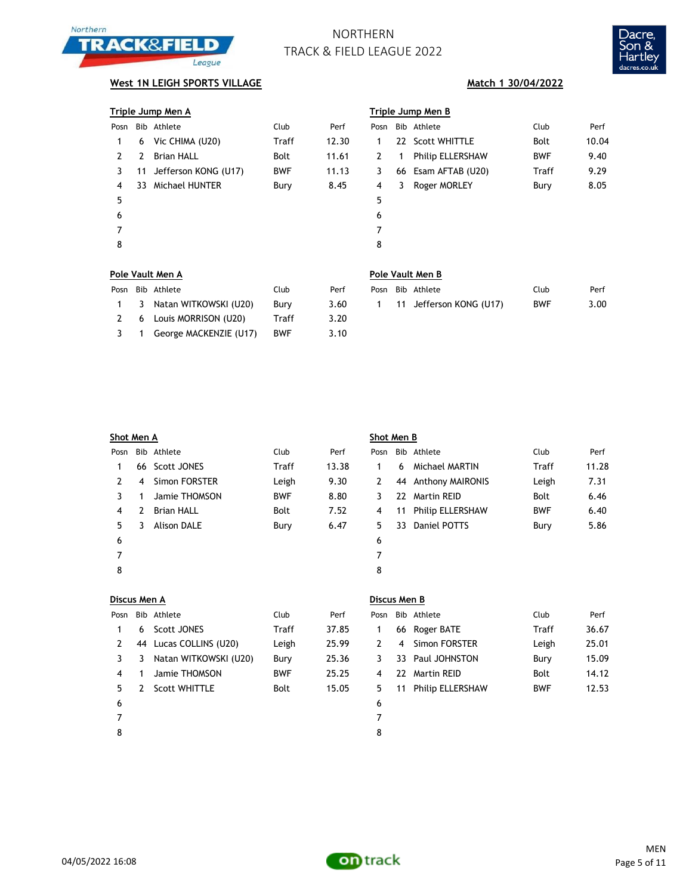



## **West 1N LEIGH SPORTS VILLAGE Match 1 30/04/2022**

|  | Triple Jump Men A |  |  |  |  |
|--|-------------------|--|--|--|--|
|  |                   |  |  |  |  |

| Posn |   | Bib Athlete             | Club       | Perf  | Pos |
|------|---|-------------------------|------------|-------|-----|
| 1    |   | 6 Vic CHIMA (U20)       | Traff      | 12.30 | 1   |
| 2    | 2 | <b>Brian HALL</b>       | Bolt       | 11.61 | 2   |
| 3    |   | 11 Jefferson KONG (U17) | <b>BWF</b> | 11.13 | 3   |
| 4    |   | 33 Michael HUNTER       | Bury       | 8.45  | 4   |
| 5    |   |                         |            |       | 5   |
| 6    |   |                         |            |       | 6   |
| 7    |   |                         |            |       | 7   |
| 8    |   |                         |            |       | 8   |
|      |   |                         |            |       |     |

|      |    | <u>Triple Jump Men A</u> |            |       | Triple Jump Men B |    |                         |            |       |  |
|------|----|--------------------------|------------|-------|-------------------|----|-------------------------|------------|-------|--|
| Posn |    | Bib Athlete              | Club       | Perf  | Posn              |    | Bib Athlete             | Club       | Perf  |  |
|      | 6  | Vic CHIMA (U20)          | Traff      | 12.30 |                   |    | 22 Scott WHITTLE        | Bolt       | 10.04 |  |
| 2    | 2  | <b>Brian HALL</b>        | Bolt       | 11.61 | 2                 | 1  | <b>Philip ELLERSHAW</b> | <b>BWF</b> | 9.40  |  |
| 3    | 11 | Jefferson KONG (U17)     | <b>BWF</b> | 11.13 | 3                 |    | 66 Esam AFTAB (U20)     | Traff      | 9.29  |  |
| 4    | 33 | Michael HUNTER           | Bury       | 8.45  | 4                 | 3. | Roger MORLEY            | Bury       | 8.05  |  |
| 5    |    |                          |            |       | 5                 |    |                         |            |       |  |
| 6    |    |                          |            |       | 6                 |    |                         |            |       |  |
|      |    |                          |            |       | 7                 |    |                         |            |       |  |
| 8    |    |                          |            |       | 8                 |    |                         |            |       |  |
|      |    |                          |            |       |                   |    |                         |            |       |  |

### **Pole Vault Men A Pole Vault Men B**

|               | Posn Bib Athlete         | Club       | Perf |
|---------------|--------------------------|------------|------|
| $\mathbf{1}$  | 3 Natan WITKOWSKI (U20)  | Bury       | 3.60 |
| $\mathcal{L}$ | 6 Louis MORRISON (U20)   | Traff      | 3.20 |
| 3             | 1 George MACKENZIE (U17) | <b>BWF</b> | 3.10 |

| Pole Vault Men B |  |
|------------------|--|
|                  |  |

|  | Posn Bib Athlete               | Club. | Perf |  | Posn Bib Athlete          | Club.      | Perf |
|--|--------------------------------|-------|------|--|---------------------------|------------|------|
|  | 1 3 Natan WITKOWSKI (U20) Bury |       | 3.60 |  | 1 11 Jefferson KONG (U17) | <b>BWF</b> | 3.00 |
|  |                                |       |      |  |                           |            |      |

| Shot Men A    |                |                   |            |       | Shot Men B |    |                         |            |       |  |
|---------------|----------------|-------------------|------------|-------|------------|----|-------------------------|------------|-------|--|
| Posn          |                | Bib Athlete       | Club       | Perf  | Posn       |    | Bib Athlete             | Club       | Perf  |  |
|               |                | 66 Scott JONES    | Traff      | 13.38 | 1          | 6  | Michael MARTIN          | Traff      | 11.28 |  |
| $\mathcal{P}$ | $\overline{4}$ | Simon FORSTER     | Leigh      | 9.30  | 2          | 44 | <b>Anthony MAIRONIS</b> | Leigh      | 7.31  |  |
| 3             |                | Jamie THOMSON     | <b>BWF</b> | 8.80  | 3          |    | 22 Martin REID          | Bolt       | 6.46  |  |
| 4             | 2              | <b>Brian HALL</b> | Bolt       | 7.52  | 4          | 11 | <b>Philip ELLERSHAW</b> | <b>BWF</b> | 6.40  |  |
| 5.            |                | Alison DALE       | Bury       | 6.47  | 5.         | 33 | Daniel POTTS            | Bury       | 5.86  |  |
| 6             |                |                   |            |       | 6          |    |                         |            |       |  |
| 7             |                |                   |            |       | 7          |    |                         |            |       |  |
| 8             |                |                   |            |       | 8          |    |                         |            |       |  |
|               |                |                   |            |       |            |    |                         |            |       |  |

| Discus Men A |  |
|--------------|--|
|              |  |

| Posn |   | Bib Athlete             | Club       | Perf  | Pos            |
|------|---|-------------------------|------------|-------|----------------|
| 1    |   | 6 Scott JONES           | Traff      | 37.85 | 1              |
| 2    |   | 44 Lucas COLLINS (U20)  | Leigh      | 25.99 | $\overline{2}$ |
| 3    |   | 3 Natan WITKOWSKI (U20) | Bury       | 25.36 | 3              |
| 4    | 1 | Jamie THOMSON           | <b>BWF</b> | 25.25 | 4              |
| 5    |   | 2 Scott WHITTLE         | Bolt       | 15.05 | 5              |
| 6    |   |                         |            |       | 6              |
| 7    |   |                         |            |       | 7              |
|      |   |                         |            |       |                |

# **Discus Men A Discus Men B**

| Posn |   | Bib Athlete            | Club       | Perf  | Posn |    | Bib Athlete             | Club        | Perf  |
|------|---|------------------------|------------|-------|------|----|-------------------------|-------------|-------|
|      | 6 | Scott JONES            | Traff      | 37.85 |      |    | 66 Roger BATE           | Traff       | 36.67 |
|      |   | 44 Lucas COLLINS (U20) | Leigh      | 25.99 |      | 4  | Simon FORSTER           | Leigh       | 25.01 |
|      | 3 | Natan WITKOWSKI (U20)  | Bury       | 25.36 |      |    | 33 Paul JOHNSTON        | Bury        | 15.09 |
|      |   | Jamie THOMSON          | <b>BWF</b> | 25.25 | 4    |    | 22 Martin REID          | <b>Bolt</b> | 14.12 |
| 5.   |   | <b>Scott WHITTLE</b>   | Bolt       | 15.05 |      | 11 | <b>Philip ELLERSHAW</b> | <b>BWF</b>  | 12.53 |
| -6   |   |                        |            |       | 6    |    |                         |             |       |

8

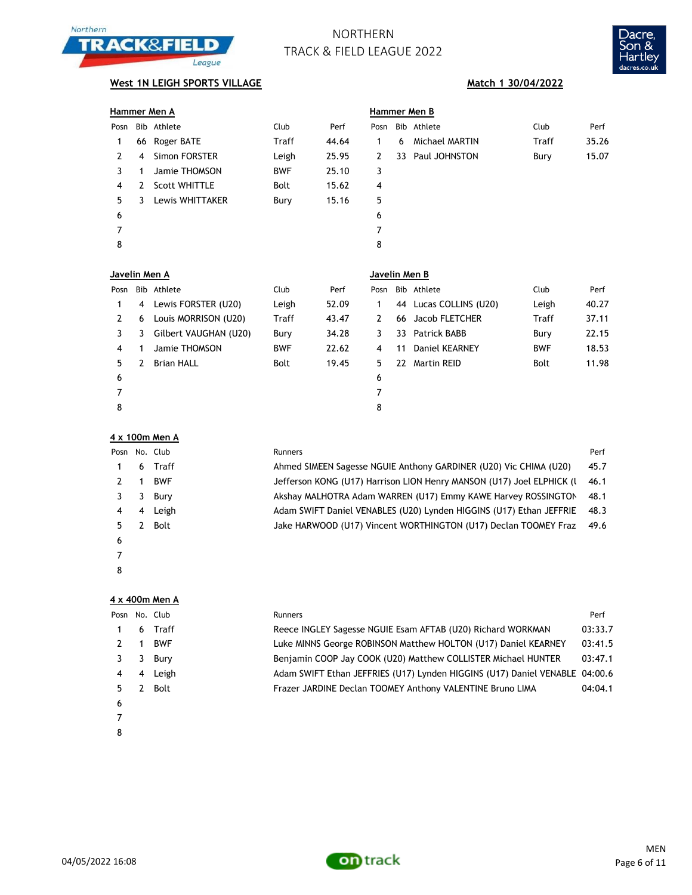



## **West 1N LEIGH SPORTS VILLAGE Match 1 30/04/2022**

|               |   | Hammer Men A         |              |       | Hammer Men B  |     |                  |       |       |  |
|---------------|---|----------------------|--------------|-------|---------------|-----|------------------|-------|-------|--|
| Posn          |   | Bib Athlete          | Club         | Perf  | Posn          |     | Bib Athlete      | Club  | Perf  |  |
| 1             |   | 66 Roger BATE        | <b>Traff</b> | 44.64 | 1.            | 6   | Michael MARTIN   | Traff | 35.26 |  |
| $\mathcal{P}$ | 4 | Simon FORSTER        | Leigh        | 25.95 | $\mathbf{2}$  |     | 33 Paul JOHNSTON | Bury  | 15.07 |  |
| 3             | 1 | Jamie THOMSON        | <b>BWF</b>   | 25.10 | 3             |     |                  |       |       |  |
| 4             | 2 | <b>Scott WHITTLE</b> | <b>Bolt</b>  | 15.62 | 4             |     |                  |       |       |  |
| 5             | 3 | Lewis WHITTAKER      | Bury         | 15.16 | 5             |     |                  |       |       |  |
| 6             |   |                      |              |       | 6             |     |                  |       |       |  |
| 7             |   |                      |              |       | 7             |     |                  |       |       |  |
| 8             |   |                      |              |       | 8             |     |                  |       |       |  |
|               |   |                      |              |       |               |     |                  |       |       |  |
| Javelin Men A |   |                      |              |       | Javelin Men B |     |                  |       |       |  |
| Posn          |   | Bib Athlete          | Club         | Perf  | Posn          | Bib | Athlete          | Club  | Perf  |  |
|               |   |                      |              |       |               |     |                  |       |       |  |

|    |   | FUSIL DID AURCLE      | <b>CIUD</b> | ren   |    | FUSII DID AURCLE       | <b>CLUD</b> | ren   |
|----|---|-----------------------|-------------|-------|----|------------------------|-------------|-------|
|    | 4 | Lewis FORSTER (U20)   | Leigh       | 52.09 |    | 44 Lucas COLLINS (U20) | Leigh       | 40.27 |
|    | 6 | Louis MORRISON (U20)  | Traff       | 43.47 |    | 66 Jacob FLETCHER      | Traff       | 37.11 |
|    | 3 | Gilbert VAUGHAN (U20) | Bury        | 34.28 | 3  | 33 Patrick BABB        | Bury        | 22.15 |
| 4  |   | Jamie THOMSON         | <b>BWF</b>  | 22.62 | 4  | 11 Daniel KEARNEY      | <b>BWF</b>  | 18.53 |
| 5. | 2 | <b>Brian HALL</b>     | <b>Bolt</b> | 19.45 | 5. | 22 Martin REID         | Bolt        | 11.98 |
| 6  |   |                       |             |       | 6  |                        |             |       |
|    |   |                       |             |       |    |                        |             |       |
| 8  |   |                       |             |       | 8  |                        |             |       |

### **4 x 100m Men A**

| Posn |   | No. Club   | Runners                                                               | Perf |
|------|---|------------|-----------------------------------------------------------------------|------|
|      | 6 | Traff      | Ahmed SIMEEN Sagesse NGUIE Anthony GARDINER (U20) Vic CHIMA (U20)     | 45.7 |
|      |   | <b>BWF</b> | Jefferson KONG (U17) Harrison LION Henry MANSON (U17) Joel ELPHICK (I | 46.1 |
|      | 3 | Burv       | Akshay MALHOTRA Adam WARREN (U17) Emmy KAWE Harvey ROSSINGTON         | 48.1 |
| 4    | 4 | Leigh      | Adam SWIFT Daniel VENABLES (U20) Lynden HIGGINS (U17) Ethan JEFFRIE   | 48.3 |
|      |   | Bolt       | Jake HARWOOD (U17) Vincent WORTHINGTON (U17) Declan TOOMEY Fraz       | 49.6 |
| 6    |   |            |                                                                       |      |
|      |   |            |                                                                       |      |
| 8    |   |            |                                                                       |      |

### **4 x 400m Men A**

| Posn |   | No. Club   | <b>Runners</b>                                                              | Perf    |
|------|---|------------|-----------------------------------------------------------------------------|---------|
|      | 6 | Traff      | Reece INGLEY Sagesse NGUIE Esam AFTAB (U20) Richard WORKMAN                 | 03:33.7 |
|      |   | <b>BWF</b> | Luke MINNS George ROBINSON Matthew HOLTON (U17) Daniel KEARNEY              | 03:41.5 |
|      | 3 | Bury       | Benjamin COOP Jay COOK (U20) Matthew COLLISTER Michael HUNTER               | 03:47.1 |
| 4    | 4 | Leigh      | Adam SWIFT Ethan JEFFRIES (U17) Lynden HIGGINS (U17) Daniel VENABLE 04:00.6 |         |
| 5.   |   | Bolt       | Frazer JARDINE Declan TOOMEY Anthony VALENTINE Bruno LIMA                   | 04:04.1 |
| 6    |   |            |                                                                             |         |
|      |   |            |                                                                             |         |
| 8    |   |            |                                                                             |         |

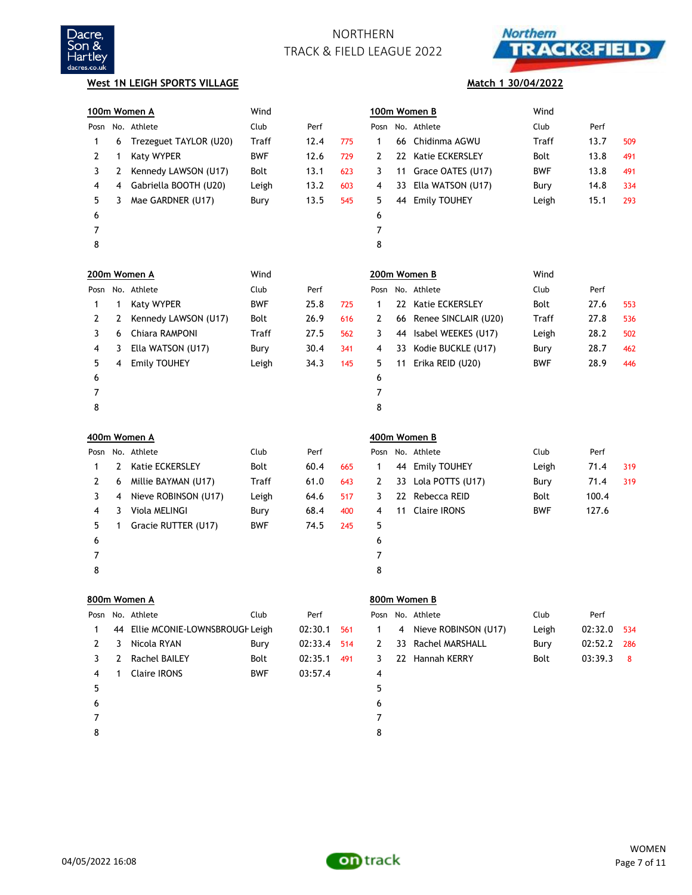



**Match 1 30/04/2022**

### **West 1N LEIGH SPORTS VILLAGE**

|      |    | 100m Women A                   | Wind         |         |     |                |    | 100m Women B         | Wind        |         |     |
|------|----|--------------------------------|--------------|---------|-----|----------------|----|----------------------|-------------|---------|-----|
|      |    | Posn No. Athlete               | Club         | Perf    |     | Posn           |    | No. Athlete          | Club        | Perf    |     |
| 1    | 6  | Trezeguet TAYLOR (U20)         | <b>Traff</b> | 12.4    | 775 | 1              | 66 | Chidinma AGWU        | Traff       | 13.7    | 509 |
| 2    | 1  | Katy WYPER                     | <b>BWF</b>   | 12.6    | 729 | 2              | 22 | Katie ECKERSLEY      | <b>Bolt</b> | 13.8    | 491 |
| 3    | 2  | Kennedy LAWSON (U17)           | Bolt         | 13.1    | 623 | 3              | 11 | Grace OATES (U17)    | <b>BWF</b>  | 13.8    | 491 |
| 4    | 4  | Gabriella BOOTH (U20)          | Leigh        | 13.2    | 603 | 4              | 33 | Ella WATSON (U17)    | Bury        | 14.8    | 334 |
| 5    | 3  | Mae GARDNER (U17)              | Bury         | 13.5    | 545 | 5              | 44 | <b>Emily TOUHEY</b>  | Leigh       | 15.1    | 293 |
| 6    |    |                                |              |         |     | 6              |    |                      |             |         |     |
| 7    |    |                                |              |         |     | $\overline{7}$ |    |                      |             |         |     |
| 8    |    |                                |              |         |     | 8              |    |                      |             |         |     |
|      |    | 200m Women A                   | Wind         |         |     |                |    | 200m Women B         | Wind        |         |     |
| Posn |    | No. Athlete                    | Club         | Perf    |     | Posn           |    | No. Athlete          | Club        | Perf    |     |
| 1    | 1  | Katy WYPER                     | <b>BWF</b>   | 25.8    | 725 | 1              | 22 | Katie ECKERSLEY      | <b>Bolt</b> | 27.6    | 553 |
| 2    | 2  | Kennedy LAWSON (U17)           | Bolt         | 26.9    | 616 | 2              | 66 | Renee SINCLAIR (U20) | Traff       | 27.8    | 536 |
| 3    | 6  | Chiara RAMPONI                 | Traff        | 27.5    | 562 | 3              | 44 | Isabel WEEKES (U17)  | Leigh       | 28.2    | 502 |
| 4    | 3  | Ella WATSON (U17)              | Bury         | 30.4    | 341 | 4              | 33 | Kodie BUCKLE (U17)   | Bury        | 28.7    | 462 |
| 5    | 4  | <b>Emily TOUHEY</b>            | Leigh        | 34.3    | 145 | 5              | 11 | Erika REID (U20)     | BWF         | 28.9    | 446 |
| 6    |    |                                |              |         |     | 6              |    |                      |             |         |     |
| 7    |    |                                |              |         |     | 7              |    |                      |             |         |     |
| 8    |    |                                |              |         |     | 8              |    |                      |             |         |     |
|      |    | 400m Women A                   |              |         |     |                |    | 400m Women B         |             |         |     |
| Posn |    | No. Athlete                    | Club         | Perf    |     | Posn           |    | No. Athlete          | Club        | Perf    |     |
| 1    | 2  | Katie ECKERSLEY                | Bolt         | 60.4    | 665 | 1              | 44 | <b>Emily TOUHEY</b>  | Leigh       | 71.4    | 319 |
| 2    | 6  | Millie BAYMAN (U17)            | Traff        | 61.0    | 643 | 2              | 33 | Lola POTTS (U17)     | Bury        | 71.4    | 319 |
| 3    | 4  | Nieve ROBINSON (U17)           | Leigh        | 64.6    | 517 | 3              | 22 | Rebecca REID         | <b>Bolt</b> | 100.4   |     |
| 4    | 3  | Viola MELINGI                  | Bury         | 68.4    | 400 | 4              | 11 | <b>Claire IRONS</b>  | BWF         | 127.6   |     |
| 5    | 1  | Gracie RUTTER (U17)            | <b>BWF</b>   | 74.5    | 245 | 5              |    |                      |             |         |     |
| 6    |    |                                |              |         |     | 6              |    |                      |             |         |     |
| 7    |    |                                |              |         |     | 7              |    |                      |             |         |     |
| 8    |    |                                |              |         |     | 8              |    |                      |             |         |     |
|      |    | 800m Women A                   |              |         |     |                |    | 800m Women B         |             |         |     |
| Posn |    | No. Athlete                    | Club         | Perf    |     | Posn           |    | No. Athlete          | Club        | Perf    |     |
| 1    | 44 | Ellie MCONIE-LOWNSBROUGF Leigh |              | 02:30.1 | 561 | 1              | 4  | Nieve ROBINSON (U17) | Leigh       | 02:32.0 | 534 |
| 2    | 3  | Nicola RYAN                    | Bury         | 02:33.4 | 514 | 2              | 33 | Rachel MARSHALL      | Bury        | 02:52.2 | 286 |
| 3    | 2  | <b>Rachel BAILEY</b>           | Bolt         | 02:35.1 | 491 | 3              |    | 22 Hannah KERRY      | Bolt        | 03:39.3 | 8   |
| 4    | 1  | <b>Claire IRONS</b>            | <b>BWF</b>   | 03:57.4 |     | 4              |    |                      |             |         |     |
| 5    |    |                                |              |         |     | 5              |    |                      |             |         |     |
| 6    |    |                                |              |         |     | 6              |    |                      |             |         |     |
| 7    |    |                                |              |         |     | 7              |    |                      |             |         |     |
| 8    |    |                                |              |         |     | 8              |    |                      |             |         |     |

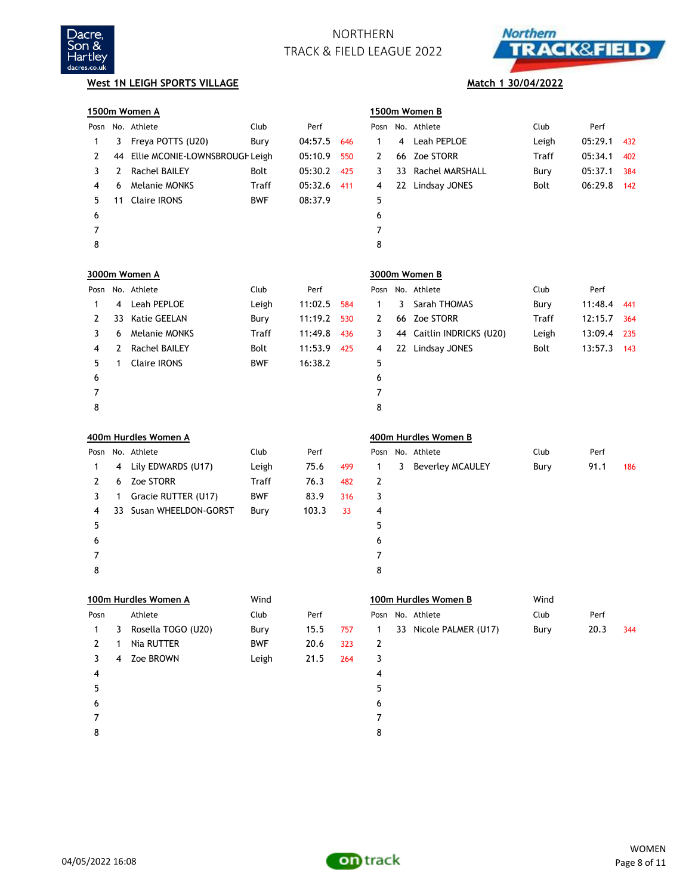



## **West 1N LEIGH SPORTS VILLAGE Match 1 30/04/2022**

|      |    | 1500m Women A                  |            |         |     |              |    | 1500m Women B           |       |         |     |
|------|----|--------------------------------|------------|---------|-----|--------------|----|-------------------------|-------|---------|-----|
|      |    | Posn No. Athlete               | Club       | Perf    |     |              |    | Posn No. Athlete        | Club  | Perf    |     |
| 1    | 3  | Freya POTTS (U20)              | Bury       | 04:57.5 | 646 | $\mathbf{1}$ | 4  | Leah PEPLOE             | Leigh | 05:29.1 | 432 |
| 2    | 44 | Ellie MCONIE-LOWNSBROUGH Leigh |            | 05:10.9 | 550 | 2            |    | 66 Zoe STORR            | Traff | 05:34.1 | 402 |
| 3    | 2  | <b>Rachel BAILEY</b>           | Bolt       | 05:30.2 | 425 | 3            | 33 | Rachel MARSHALL         | Bury  | 05:37.1 | 384 |
| 4    | 6  | <b>Melanie MONKS</b>           | Traff      | 05:32.6 | 411 | 4            |    | 22 Lindsay JONES        | Bolt  | 06:29.8 | 142 |
| 5    | 11 | <b>Claire IRONS</b>            | <b>BWF</b> | 08:37.9 |     | 5            |    |                         |       |         |     |
| 6    |    |                                |            |         |     | 6            |    |                         |       |         |     |
| 7    |    |                                |            |         |     | 7            |    |                         |       |         |     |
| 8    |    |                                |            |         |     | 8            |    |                         |       |         |     |
|      |    | 3000m Women A                  |            |         |     |              |    | 3000m Women B           |       |         |     |
| Posn |    | No. Athlete                    | Club       | Perf    |     |              |    | Posn No. Athlete        | Club  | Perf    |     |
| 1    | 4  | Leah PEPLOE                    | Leigh      | 11:02.5 | 584 | $\mathbf{1}$ | 3  | Sarah THOMAS            | Bury  | 11:48.4 | 441 |
| 2    | 33 | <b>Katie GEELAN</b>            | Bury       | 11:19.2 | 530 | 2            |    | 66 Zoe STORR            | Traff | 12:15.7 | 364 |
| 3    | 6  | <b>Melanie MONKS</b>           | Traff      | 11:49.8 | 436 | 3            | 44 | Caitlin INDRICKS (U20)  | Leigh | 13:09.4 | 235 |
| 4    | 2  | <b>Rachel BAILEY</b>           | Bolt       | 11:53.9 | 425 | 4            |    | 22 Lindsay JONES        | Bolt  | 13:57.3 | 143 |
| 5    | 1  | <b>Claire IRONS</b>            | <b>BWF</b> | 16:38.2 |     | 5            |    |                         |       |         |     |
| 6    |    |                                |            |         |     | 6            |    |                         |       |         |     |
| 7    |    |                                |            |         |     | 7            |    |                         |       |         |     |
| 8    |    |                                |            |         |     | 8            |    |                         |       |         |     |
|      |    | 400m Hurdles Women A           |            |         |     |              |    | 400m Hurdles Women B    |       |         |     |
| Posn |    | No. Athlete                    | Club       | Perf    |     | Posn         |    | No. Athlete             | Club  | Perf    |     |
| 1    | 4  | Lily EDWARDS (U17)             | Leigh      | 75.6    | 499 | 1            | 3  | <b>Beverley MCAULEY</b> | Bury  | 91.1    | 186 |
| 2    | 6  | Zoe STORR                      | Traff      | 76.3    | 482 | 2            |    |                         |       |         |     |
| 3    | 1  | Gracie RUTTER (U17)            | <b>BWF</b> | 83.9    | 316 | 3            |    |                         |       |         |     |
| 4    | 33 | Susan WHEELDON-GORST           | Bury       | 103.3   | 33  | 4            |    |                         |       |         |     |
| 5    |    |                                |            |         |     | 5            |    |                         |       |         |     |
| 6    |    |                                |            |         |     | 6            |    |                         |       |         |     |
| 7    |    |                                |            |         |     | 7            |    |                         |       |         |     |
| 8    |    |                                |            |         |     | 8            |    |                         |       |         |     |
|      |    | 100m Hurdles Women A           | Wind       |         |     |              |    | 100m Hurdles Women B    | Wind  |         |     |
| Posn |    | Athlete                        | Club       | Perf    |     |              |    | Posn No. Athlete        | Club  | Perf    |     |
| 1    | 3  | Rosella TOGO (U20)             | Bury       | 15.5    | 757 | 1            |    | 33 Nicole PALMER (U17)  | Bury  | 20.3    | 344 |
| 2    | 1  | Nia RUTTER                     | <b>BWF</b> | 20.6    | 323 | 2            |    |                         |       |         |     |
| 3    | 4  | Zoe BROWN                      | Leigh      | 21.5    | 264 | 3            |    |                         |       |         |     |
| 4    |    |                                |            |         |     | 4            |    |                         |       |         |     |
| 5    |    |                                |            |         |     | 5            |    |                         |       |         |     |
| 6    |    |                                |            |         |     | 6            |    |                         |       |         |     |
| 7    |    |                                |            |         |     | 7            |    |                         |       |         |     |
| 8    |    |                                |            |         |     | 8            |    |                         |       |         |     |

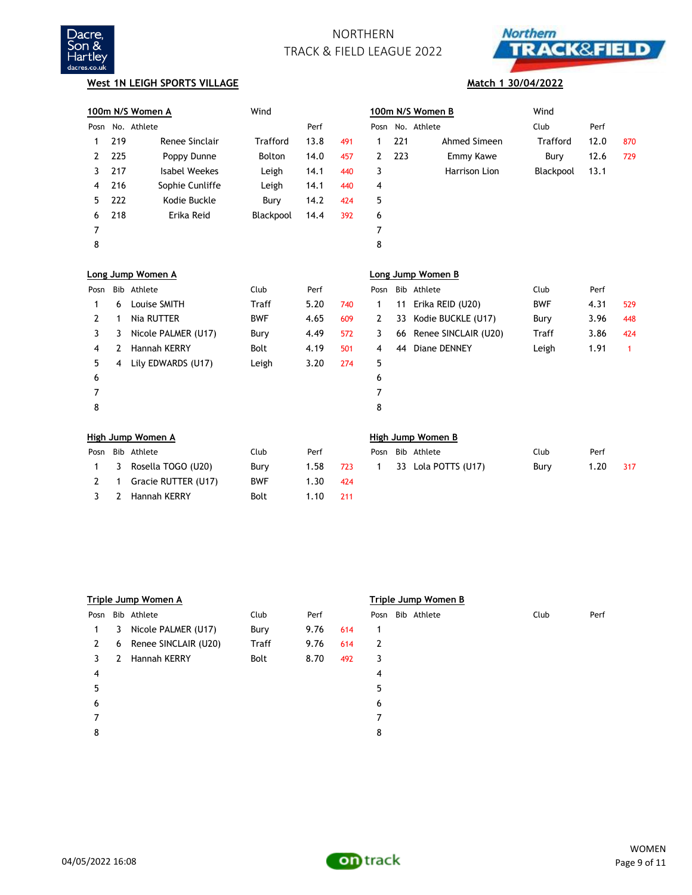



## **West 1N LEIGH SPORTS VILLAGE Match 1 30/04/2022**

2 Hannah KERRY Bolt 1.10 211

|      |              | 100m N/S Women A         | Wind       |      |     |      |     | 100m N/S Women B         | Wind            |      |     |
|------|--------------|--------------------------|------------|------|-----|------|-----|--------------------------|-----------------|------|-----|
|      |              | Posn No. Athlete         |            | Perf |     | Posn |     | No. Athlete              | Club            | Perf |     |
| 1    | 219          | Renee Sinclair           | Trafford   | 13.8 | 491 | 1    | 221 | Ahmed Simeen             | <b>Trafford</b> | 12.0 | 870 |
| 2    | 225          | Poppy Dunne              | Bolton     | 14.0 | 457 | 2    | 223 | Emmy Kawe                | Bury            | 12.6 | 729 |
| 3    | 217          | <b>Isabel Weekes</b>     | Leigh      | 14.1 | 440 | 3    |     | Harrison Lion            | Blackpool       | 13.1 |     |
| 4    | 216          | Sophie Cunliffe          | Leigh      | 14.1 | 440 | 4    |     |                          |                 |      |     |
| 5    | 222          | Kodie Buckle             | Bury       | 14.2 | 424 | 5    |     |                          |                 |      |     |
| 6    | 218          | Erika Reid               | Blackpool  | 14.4 | 392 | 6    |     |                          |                 |      |     |
| 7    |              |                          |            |      |     | 7    |     |                          |                 |      |     |
| 8    |              |                          |            |      |     | 8    |     |                          |                 |      |     |
|      |              | Long Jump Women A        |            |      |     |      |     | Long Jump Women B        |                 |      |     |
| Posn |              | Bib Athlete              | Club       | Perf |     | Posn |     | Bib Athlete              | Club            | Perf |     |
| 1    | 6            | Louise SMITH             | Traff      | 5.20 | 740 | 1    | 11  | Erika REID (U20)         | <b>BWF</b>      | 4.31 | 529 |
| 2    | 1            | Nia RUTTER               | <b>BWF</b> | 4.65 | 609 | 2    | 33  | Kodie BUCKLE (U17)       | Bury            | 3.96 | 448 |
| 3    | 3            | Nicole PALMER (U17)      | Bury       | 4.49 | 572 | 3    | 66  | Renee SINCLAIR (U20)     | <b>Traff</b>    | 3.86 | 424 |
| 4    | $\mathbf{2}$ | Hannah KERRY             | Bolt       | 4.19 | 501 | 4    | 44  | Diane DENNEY             | Leigh           | 1.91 | 1   |
| 5    | 4            | Lily EDWARDS (U17)       | Leigh      | 3.20 | 274 | 5    |     |                          |                 |      |     |
| 6    |              |                          |            |      |     | 6    |     |                          |                 |      |     |
| 7    |              |                          |            |      |     | 7    |     |                          |                 |      |     |
| 8    |              |                          |            |      |     | 8    |     |                          |                 |      |     |
|      |              | <b>High Jump Women A</b> |            |      |     |      |     | <b>High Jump Women B</b> |                 |      |     |
| Posn |              | Bib Athlete              | Club       | Perf |     | Posn |     | Bib Athlete              | Club            | Perf |     |
| 1    | 3            | Rosella TOGO (U20)       | Bury       | 1.58 | 723 | 1    |     | 33 Lola POTTS (U17)      | Bury            | 1.20 | 317 |
| 2    | 1            | Gracie RUTTER (U17)      | <b>BWF</b> | 1.30 | 424 |      |     |                          |                 |      |     |

|      |   | Triple Jump Women A  |       |      |     |      | Triple Jump Women B |      |      |
|------|---|----------------------|-------|------|-----|------|---------------------|------|------|
| Posn |   | Bib Athlete          | Club  | Perf |     | Posn | Bib Athlete         | Club | Perf |
| 1    | 3 | Nicole PALMER (U17)  | Bury  | 9.76 | 614 | 1    |                     |      |      |
| 2    | 6 | Renee SINCLAIR (U20) | Traff | 9.76 | 614 | 2    |                     |      |      |
| 3    | 2 | Hannah KERRY         | Bolt  | 8.70 | 492 | 3    |                     |      |      |
| 4    |   |                      |       |      |     | 4    |                     |      |      |
| 5    |   |                      |       |      |     | 5    |                     |      |      |
| 6    |   |                      |       |      |     | 6    |                     |      |      |
|      |   |                      |       |      |     | 7    |                     |      |      |
| 8    |   |                      |       |      |     | 8    |                     |      |      |
|      |   |                      |       |      |     |      |                     |      |      |



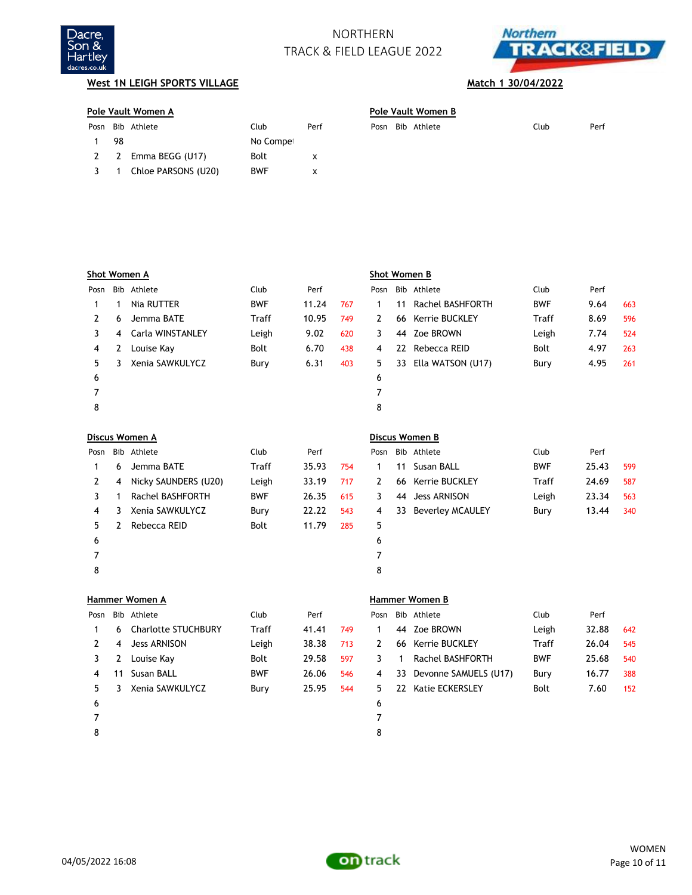



## **West 1N LEIGH SPORTS VILLAGE Match 1 30/04/2022**

|             | Pole Vault Women A |                       |            |      |      |  | Pole Vault Women B |             |      |      |  |  |  |
|-------------|--------------------|-----------------------|------------|------|------|--|--------------------|-------------|------|------|--|--|--|
| Posn        |                    | Bib Athlete           | Club       | Perf | Posn |  |                    | Bib Athlete | Club | Perf |  |  |  |
|             | 98                 |                       | No Compet  |      |      |  |                    |             |      |      |  |  |  |
|             |                    | 2 2 Emma BEGG (U17)   | Bolt       | x    |      |  |                    |             |      |      |  |  |  |
| $3^{\circ}$ |                    | 1 Chloe PARSONS (U20) | <b>BWF</b> | x    |      |  |                    |             |      |      |  |  |  |
|             |                    |                       |            |      |      |  |                    |             |      |      |  |  |  |

| Pole Vault Women B |      |      |
|--------------------|------|------|
| Posn Bib Athlete   | Club | Perf |

|      |   | Shot Women A            |              |       |     | Shot Women B |    |                         |              |       |     |
|------|---|-------------------------|--------------|-------|-----|--------------|----|-------------------------|--------------|-------|-----|
| Posn |   | Bib Athlete             | Club         | Perf  |     | Posn         |    | Bib Athlete             | Club         | Perf  |     |
| 1    | 1 | Nia RUTTER              | <b>BWF</b>   | 11.24 | 767 | 1            | 11 | <b>Rachel BASHFORTH</b> | <b>BWF</b>   | 9.64  | 663 |
| 2    | 6 | Jemma BATE              | <b>Traff</b> | 10.95 | 749 | 2            | 66 | Kerrie BUCKLEY          | <b>Traff</b> | 8.69  | 596 |
| 3    | 4 | Carla WINSTANLEY        | Leigh        | 9.02  | 620 | 3            | 44 | Zoe BROWN               | Leigh        | 7.74  | 524 |
| 4    | 2 | Louise Kay              | <b>Bolt</b>  | 6.70  | 438 | 4            | 22 | Rebecca REID            | <b>Bolt</b>  | 4.97  | 263 |
| 5    | 3 | Xenia SAWKULYCZ         | Bury         | 6.31  | 403 | 5            | 33 | Ella WATSON (U17)       | Bury         | 4.95  | 261 |
| 6    |   |                         |              |       |     | 6            |    |                         |              |       |     |
| 7    |   |                         |              |       |     | 7            |    |                         |              |       |     |
| 8    |   |                         |              |       |     | 8            |    |                         |              |       |     |
|      |   | Discus Women A          |              |       |     |              |    | Discus Women B          |              |       |     |
|      |   | Bib Athlete             | Club         | Perf  |     | Posn         |    | Bib Athlete             | Club         | Perf  |     |
| Posn |   |                         |              |       |     |              |    |                         |              |       |     |
| 1    | 6 | Jemma BATE              | <b>Traff</b> | 35.93 | 754 | 1            | 11 | Susan BALL              | <b>BWF</b>   | 25.43 | 599 |
| 2    | 4 | Nicky SAUNDERS (U20)    | Leigh        | 33.19 | 717 | 2            | 66 | Kerrie BUCKLEY          | Traff        | 24.69 | 587 |
| 3    | 1 | <b>Rachel BASHFORTH</b> | <b>BWF</b>   | 26.35 | 615 | 3            | 44 | <b>Jess ARNISON</b>     | Leigh        | 23.34 | 563 |
| 4    | 3 | Xenia SAWKULYCZ         | Bury         | 22.22 | 543 | 4            | 33 | <b>Beverley MCAULEY</b> | Bury         | 13.44 | 340 |
| 5    | 2 | Rebecca REID            | Bolt         | 11.79 | 285 | 5            |    |                         |              |       |     |
| 6    |   |                         |              |       |     | 6            |    |                         |              |       |     |
| 7    |   |                         |              |       |     | 7            |    |                         |              |       |     |
| 8    |   |                         |              |       |     | 8            |    |                         |              |       |     |

|      |    | א והשוווידה ואיטוונדו      |              |       |     |      |    | ש ווסווויוכו ללטוונכור |              |       |     |
|------|----|----------------------------|--------------|-------|-----|------|----|------------------------|--------------|-------|-----|
| Posn |    | Bib Athlete                | Club         | Perf  |     | Posn |    | Bib Athlete            | Club         | Perf  |     |
|      | 6. | <b>Charlotte STUCHBURY</b> | <b>Traff</b> | 41.41 | 749 |      |    | 44 Zoe BROWN           | Leigh        | 32.88 | 642 |
|      | 4  | <b>Jess ARNISON</b>        | Leigh        | 38.38 | 713 | 2    | 66 | Kerrie BUCKLEY         | <b>Traff</b> | 26.04 | 545 |
|      | 2  | Louise Kay                 | Bolt         | 29.58 | 597 |      |    | Rachel BASHFORTH       | <b>BWF</b>   | 25.68 | 540 |
| 4    | 11 | Susan BALL                 | <b>BWF</b>   | 26.06 | 546 | 4    | 33 | Devonne SAMUELS (U17)  | Bury         | 16.77 | 388 |
| 5.   |    | Xenia SAWKULYCZ            | Bury         | 25.95 | 544 | 5.   |    | 22 Katie ECKERSLEY     | Bolt         | 7.60  | 152 |
| 6    |    |                            |              |       |     | 6    |    |                        |              |       |     |
|      |    |                            |              |       |     |      |    |                        |              |       |     |
| 8    |    |                            |              |       |     | 8    |    |                        |              |       |     |